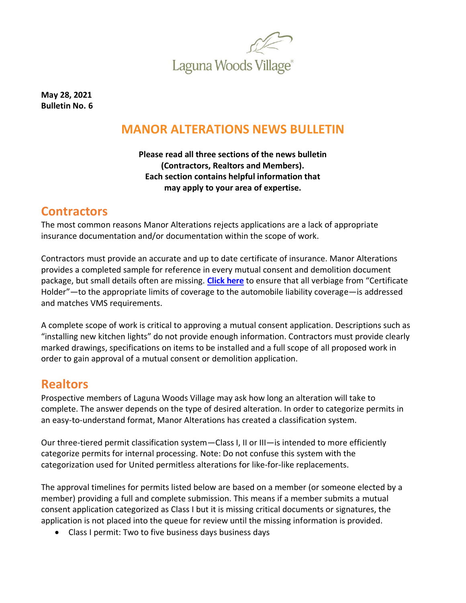

**May 28, 2021 Bulletin No. 6**

# **MANOR ALTERATIONS NEWS BULLETIN**

**Please read all three sections of the news bulletin (Contractors, Realtors and Members). Each section contains helpful information that may apply to your area of expertise.**

## **Contractors**

The most common reasons Manor Alterations rejects applications are a lack of appropriate insurance documentation and/or documentation within the scope of work.

Contractors must provide an accurate and up to date certificate of insurance. Manor Alterations provides a completed sample for reference in every mutual consent and demolition document package, but small details often are missing. **[Click here](https://lagunawoodsvillage.com/documents/view/5438/COLI%20Sample%20-%20500000.pdf?v=1619547031)** to ensure that all verbiage from "Certificate Holder"—to the appropriate limits of coverage to the automobile liability coverage—is addressed and matches VMS requirements.

A complete scope of work is critical to approving a mutual consent application. Descriptions such as "installing new kitchen lights" do not provide enough information. Contractors must provide clearly marked drawings, specifications on items to be installed and a full scope of all proposed work in order to gain approval of a mutual consent or demolition application.

### **Realtors**

Prospective members of Laguna Woods Village may ask how long an alteration will take to complete. The answer depends on the type of desired alteration. In order to categorize permits in an easy-to-understand format, Manor Alterations has created a classification system.

Our three-tiered permit classification system—Class I, II or III—is intended to more efficiently categorize permits for internal processing. Note: Do not confuse this system with the categorization used for United permitless alterations for like-for-like replacements.

The approval timelines for permits listed below are based on a member (or someone elected by a member) providing a full and complete submission. This means if a member submits a mutual consent application categorized as Class I but it is missing critical documents or signatures, the application is not placed into the queue for review until the missing information is provided.

• Class I permit: Two to five business days business days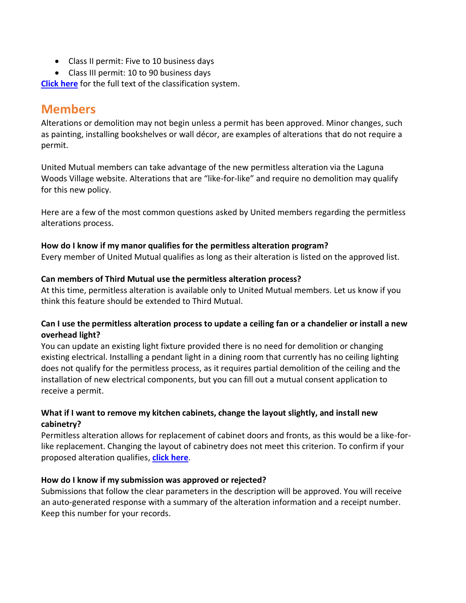- Class II permit: Five to 10 business days
- Class III permit: 10 to 90 business days

**[Click here](https://www.lagunawoodsvillage.com/documents/view/5656/CLASSIFICATION%20OF%20MUTUAL%20CONSENTS_ER.pdf)** for the full text of the classification system.

### **Members**

Alterations or demolition may not begin unless a permit has been approved. Minor changes, such as painting, installing bookshelves or wall décor, are examples of alterations that do not require a permit.

United Mutual members can take advantage of the new permitless alteration via the Laguna Woods Village website. Alterations that are "like-for-like" and require no demolition may qualify for this new policy.

Here are a few of the most common questions asked by United members regarding the permitless alterations process.

#### **How do I know if my manor qualifies for the permitless alteration program?**

Every member of United Mutual qualifies as long as their alteration is listed on the approved list.

#### **Can members of Third Mutual use the permitless alteration process?**

At this time, permitless alteration is available only to United Mutual members. Let us know if you think this feature should be extended to Third Mutual.

#### **Can I use the permitless alteration process to update a ceiling fan or a chandelier or install a new overhead light?**

You can update an existing light fixture provided there is no need for demolition or changing existing electrical. Installing a pendant light in a dining room that currently has no ceiling lighting does not qualify for the permitless process, as it requires partial demolition of the ceiling and the installation of new electrical components, but you can fill out a mutual consent application to receive a permit.

#### **What if I want to remove my kitchen cabinets, change the layout slightly, and install new cabinetry?**

Permitless alteration allows for replacement of cabinet doors and fronts, as this would be a like-forlike replacement. Changing the layout of cabinetry does not meet this criterion. To confirm if your proposed alteration qualifies, **[click here](https://form.jotform.com/210566081409150)**.

#### **How do I know if my submission was approved or rejected?**

Submissions that follow the clear parameters in the description will be approved. You will receive an auto-generated response with a summary of the alteration information and a receipt number. Keep this number for your records.